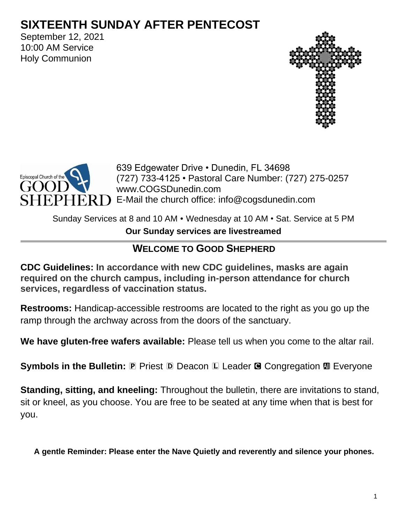# **SIXTEENTH SUNDAY AFTER PENTECOST**

September 12, 2021 10:00 AM Service Holy Communion





639 Edgewater Drive • Dunedin, FL 34698 (727) 733-4125 • Pastoral Care Number: (727) 275-0257 www.COGSDunedin.com E-Mail the church office: info@cogsdunedin.com

Sunday Services at 8 and 10 AM • Wednesday at 10 AM • Sat. Service at 5 PM **Our Sunday services are livestreamed**

## **WELCOME TO GOOD SHEPHERD**

**CDC Guidelines: In accordance with new CDC guidelines, masks are again required on the church campus, including in-person attendance for church services, regardless of vaccination status.**

**Restrooms:** Handicap-accessible restrooms are located to the right as you go up the ramp through the archway across from the doors of the sanctuary.

**We have gluten-free wafers available:** Please tell us when you come to the altar rail.

**Symbols in the Bulletin: P Priest D Deacon L Leader G Congregation**  $\mathbf{M}$  **Everyone** 

**Standing, sitting, and kneeling:** Throughout the bulletin, there are invitations to stand, sit or kneel, as you choose. You are free to be seated at any time when that is best for you.

**A gentle Reminder: Please enter the Nave Quietly and reverently and silence your phones.**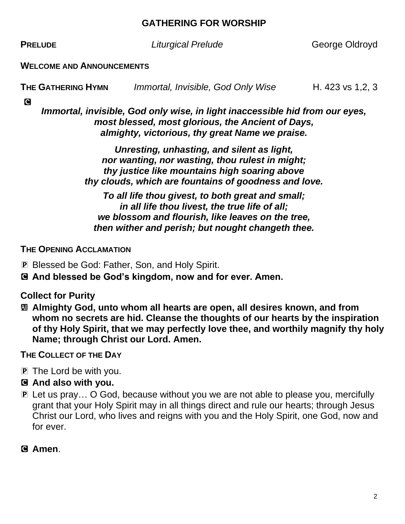#### **GATHERING FOR WORSHIP**

**PRELUDE** *Liturgical Prelude* George Oldroyd

**WELCOME AND ANNOUNCEMENTS**

| THE GATHERING HYMN | Immortal, Invisible, God Only Wise | H. 423 vs 1,2, 3 |
|--------------------|------------------------------------|------------------|
|                    |                                    |                  |

C

*Immortal, invisible, God only wise, in light inaccessible hid from our eyes, most blessed, most glorious, the Ancient of Days, almighty, victorious, thy great Name we praise.*

> *Unresting, unhasting, and silent as light, nor wanting, nor wasting, thou rulest in might; thy justice like mountains high soaring above thy clouds, which are fountains of goodness and love.*

*To all life thou givest, to both great and small; in all life thou livest, the true life of all; we blossom and flourish, like leaves on the tree, then wither and perish; but nought changeth thee.*

**THE OPENING ACCLAMATION**

P Blessed be God: Father, Son, and Holy Spirit.

C **And blessed be God's kingdom, now and for ever. Amen.**

**Collect for Purity**

a **Almighty God, unto whom all hearts are open, all desires known, and from whom no secrets are hid. Cleanse the thoughts of our hearts by the inspiration of thy Holy Spirit, that we may perfectly love thee, and worthily magnify thy holy Name; through Christ our Lord. Amen.**

**THE COLLECT OF THE DAY**

P The Lord be with you.

## C **And also with you.**

P Let us pray… O God, because without you we are not able to please you, mercifully grant that your Holy Spirit may in all things direct and rule our hearts; through Jesus Christ our Lord, who lives and reigns with you and the Holy Spirit, one God, now and for ever.

## C **Amen**.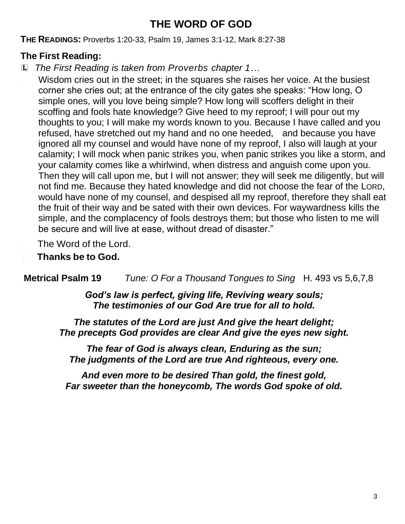# **THE WORD OF GOD**

**THE READINGS:** Proverbs 1:20-33, Psalm 19, James 3:1-12, Mark 8:27-38

## **The First Reading:**

L *The First Reading is taken from Proverbs chapter 1…*

<sup>L</sup> Wisdom cries out in the street; in the squares she raises her voice. At the busiest corner she cries out; at the entrance of the city gates she speaks: "How long, O simple ones, will you love being simple? How long will scoffers delight in their scoffing and fools hate knowledge? Give heed to my reproof; I will pour out my thoughts to you; I will make my words known to you. Because I have called and you refused, have stretched out my hand and no one heeded, and because you have ignored all my counsel and would have none of my reproof, I also will laugh at your calamity; I will mock when panic strikes you, when panic strikes you like a storm, and your calamity comes like a whirlwind, when distress and anguish come upon you. Then they will call upon me, but I will not answer; they will seek me diligently, but will not find me. Because they hated knowledge and did not choose the fear of the LORD, would have none of my counsel, and despised all my reproof, therefore they shall eat the fruit of their way and be sated with their own devices. For waywardness kills the simple, and the complacency of fools destroys them; but those who listen to me will be secure and will live at ease, without dread of disaster."

The Word of the Lord.

## <sup>C</sup> **Thanks be to God.**

**Metrical Psalm 19** *Tune: O For a Thousand Tongues to Sing* H. 493 vs 5,6,7,8

*God's law is perfect, giving life, Reviving weary souls; The testimonies of our God Are true for all to hold.*

*The statutes of the Lord are just And give the heart delight; The precepts God provides are clear And give the eyes new sight.*

*The fear of God is always clean, Enduring as the sun; The judgments of the Lord are true And righteous, every one.*

*And even more to be desired Than gold, the finest gold, Far sweeter than the honeycomb, The words God spoke of old.*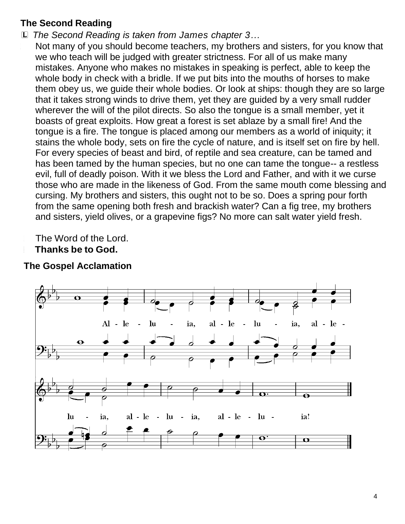## **The Second Reading**

- L *The Second Reading is taken from James chapter 3…*
	- Not many of you should become teachers, my brothers and sisters, for you know that we who teach will be judged with greater strictness. For all of us make many mistakes. Anyone who makes no mistakes in speaking is perfect, able to keep the whole body in check with a bridle. If we put bits into the mouths of horses to make them obey us, we guide their whole bodies. Or look at ships: though they are so large that it takes strong winds to drive them, yet they are guided by a very small rudder wherever the will of the pilot directs. So also the tongue is a small member, yet it boasts of great exploits. How great a forest is set ablaze by a small fire! And the tongue is a fire. The tongue is placed among our members as a world of iniquity; it stains the whole body, sets on fire the cycle of nature, and is itself set on fire by hell. For every species of beast and bird, of reptile and sea creature, can be tamed and has been tamed by the human species, but no one can tame the tongue-- a restless evil, full of deadly poison. With it we bless the Lord and Father, and with it we curse those who are made in the likeness of God. From the same mouth come blessing and cursing. My brothers and sisters, this ought not to be so. Does a spring pour forth from the same opening both fresh and brackish water? Can a fig tree, my brothers and sisters, yield olives, or a grapevine figs? No more can salt water yield fresh.

The Word of the Lord. <sup>C</sup> **Thanks be to God.**

#### **The Gospel Acclamation**

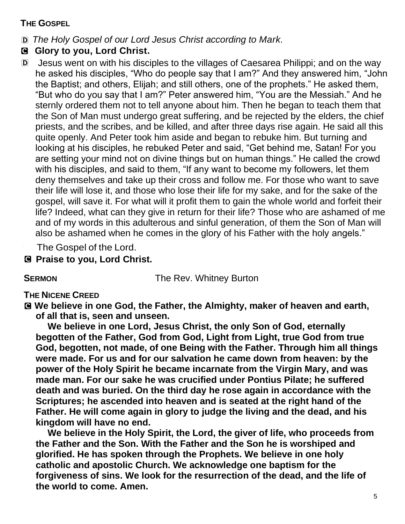#### **THE GOSPEL**

- D *The Holy Gospel of our Lord Jesus Christ according to Mark.*
- C **Glory to you, Lord Christ.**
- D Jesus went on with his disciples to the villages of Caesarea Philippi; and on the way he asked his disciples, "Who do people say that I am?" And they answered him, "John the Baptist; and others, Elijah; and still others, one of the prophets." He asked them, "But who do you say that I am?" Peter answered him, "You are the Messiah." And he sternly ordered them not to tell anyone about him. Then he began to teach them that the Son of Man must undergo great suffering, and be rejected by the elders, the chief priests, and the scribes, and be killed, and after three days rise again. He said all this quite openly. And Peter took him aside and began to rebuke him. But turning and looking at his disciples, he rebuked Peter and said, "Get behind me, Satan! For you are setting your mind not on divine things but on human things." He called the crowd with his disciples, and said to them, "If any want to become my followers, let them deny themselves and take up their cross and follow me. For those who want to save their life will lose it, and those who lose their life for my sake, and for the sake of the gospel, will save it. For what will it profit them to gain the whole world and forfeit their life? Indeed, what can they give in return for their life? Those who are ashamed of me and of my words in this adulterous and sinful generation, of them the Son of Man will also be ashamed when he comes in the glory of his Father with the holy angels."

The Gospel of the Lord.

## C **Praise to you, Lord Christ.**

**SERMON** The Rev. Whitney Burton

#### **THE NICENE CREED**

C **We believe in one God, the Father, the Almighty, maker of heaven and earth, of all that is, seen and unseen.**

**We believe in one Lord, Jesus Christ, the only Son of God, eternally begotten of the Father, God from God, Light from Light, true God from true God, begotten, not made, of one Being with the Father. Through him all things were made. For us and for our salvation he came down from heaven: by the power of the Holy Spirit he became incarnate from the Virgin Mary, and was made man. For our sake he was crucified under Pontius Pilate; he suffered death and was buried. On the third day he rose again in accordance with the Scriptures; he ascended into heaven and is seated at the right hand of the Father. He will come again in glory to judge the living and the dead, and his kingdom will have no end.**

**We believe in the Holy Spirit, the Lord, the giver of life, who proceeds from the Father and the Son. With the Father and the Son he is worshiped and glorified. He has spoken through the Prophets. We believe in one holy catholic and apostolic Church. We acknowledge one baptism for the forgiveness of sins. We look for the resurrection of the dead, and the life of the world to come. Amen.**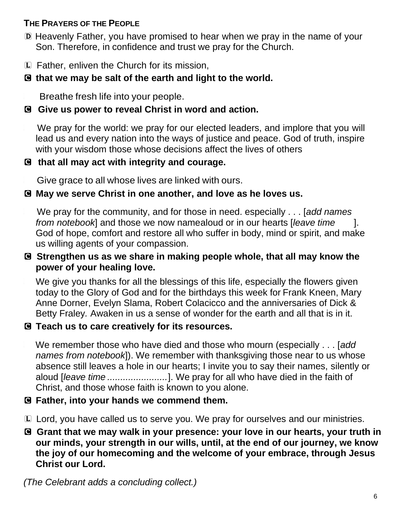## **THE PRAYERS OF THE PEOPLE**

- D Heavenly Father, you have promised to hear when we pray in the name of your Son. Therefore, in confidence and trust we pray for the Church.
- L Father, enliven the Church for its mission,

## C **that we may be salt of the earth and light to the world.**

Breathe fresh life into your people.

## C **Give us power to reveal Christ in word and action.**

We pray for the world: we pray for our elected leaders, and implore that you will lead us and every nation into the ways of justice and peace. God of truth, inspire with your wisdom those whose decisions affect the lives of others

## C **that all may act with integrity and courage.**

Give grace to all whose lives are linked with ours.

## C **May we serve Christ in one another, and love as he loves us.**

<sup>L</sup> We pray for the community, and for those in need. especially . . . [*add names from notebook*] and those we now namealoud or in our hearts [*leave time* ]. God of hope, comfort and restore all who suffer in body, mind or spirit, and make us willing agents of your compassion.

## C **Strengthen us as we share in making people whole, that all may know the power of your healing love.**

We give you thanks for all the blessings of this life, especially the flowers given today to the Glory of God and for the birthdays this week for Frank Kneen, Mary Anne Dorner, Evelyn Slama, Robert Colacicco and the anniversaries of Dick & Betty Fraley*.* Awaken in us a sense of wonder for the earth and all that is in it.

## C **Teach us to care creatively for its resources.**

<sup>L</sup> We remember those who have died and those who mourn (especially . . . [*add names from notebook*]). We remember with thanksgiving those near to us whose absence still leaves a hole in our hearts; I invite you to say their names, silently or aloud [*leave time .......................*]. We pray for all who have died in the faith of Christ, and those whose faith is known to you alone.

## C **Father, into your hands we commend them.**

L Lord, you have called us to serve you. We pray for ourselves and our ministries.

C **Grant that we may walk in your presence: your love in our hearts, your truth in our minds, your strength in our wills, until, at the end of our journey, we know the joy of our homecoming and the welcome of your embrace, through Jesus Christ our Lord.**

*(The Celebrant adds a concluding collect.)*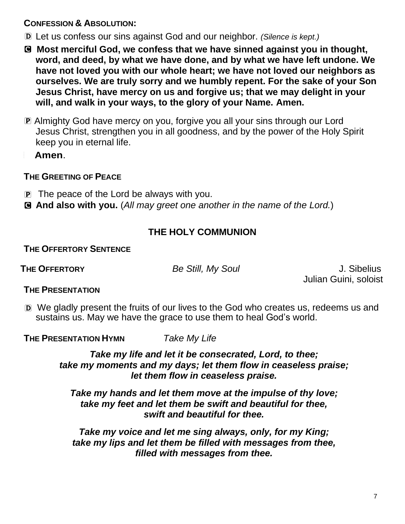## **CONFESSION & ABSOLUTION:**

- D Let us confess our sins against God and our neighbor. *(Silence is kept.)*
- C **Most merciful God, we confess that we have sinned against you in thought, word, and deed, by what we have done, and by what we have left undone. We have not loved you with our whole heart; we have not loved our neighbors as ourselves. We are truly sorry and we humbly repent. For the sake of your Son Jesus Christ, have mercy on us and forgive us; that we may delight in your will, and walk in your ways, to the glory of your Name. Amen.**
- P Almighty God have mercy on you, forgive you all your sins through our Lord Jesus Christ, strengthen you in all goodness, and by the power of the Holy Spirit keep you in eternal life.

<sup>C</sup> **Amen**.

## **THE GREETING OF PEACE**

- P The peace of the Lord be always with you.
- C **And also with you.** (*All may greet one another in the name of the Lord.*)

## **THE HOLY COMMUNION**

#### **THE OFFERTORY SENTENCE**

**THE OFFERTORY** *Be Still, My Soul* J. Sibelius Julian Guini, soloist

#### **THE PRESENTATION**

D We gladly present the fruits of our lives to the God who creates us, redeems us and sustains us. May we have the grace to use them to heal God's world.

**THE PRESENTATION HYMN** *Take My Life*

*Take my life and let it be consecrated, Lord, to thee; take my moments and my days; let them flow in ceaseless praise; let them flow in ceaseless praise.*

*Take my hands and let them move at the impulse of thy love; take my feet and let them be swift and beautiful for thee, swift and beautiful for thee.*

*Take my voice and let me sing always, only, for my King; take my lips and let them be filled with messages from thee, filled with messages from thee.*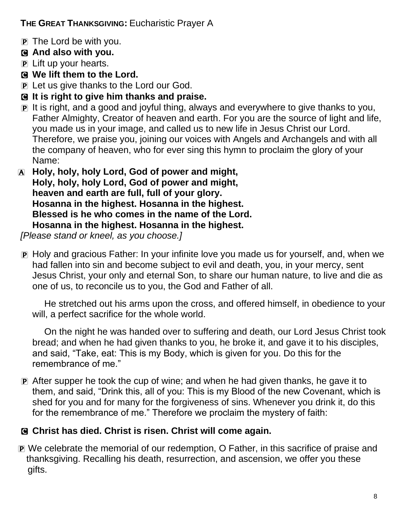**THE GREAT THANKSGIVING:** Eucharistic Prayer A

- P The Lord be with you.
- C **And also with you.**
- P Lift up your hearts.
- C **We lift them to the Lord.**
- P Let us give thanks to the Lord our God.
- C **It is right to give him thanks and praise.**
- P It is right, and a good and joyful thing, always and everywhere to give thanks to you, Father Almighty, Creator of heaven and earth. For you are the source of light and life, you made us in your image, and called us to new life in Jesus Christ our Lord. Therefore, we praise you, joining our voices with Angels and Archangels and with all the company of heaven, who for ever sing this hymn to proclaim the glory of your Name:
- A **Holy, holy, holy Lord, God of power and might, Holy, holy, holy Lord, God of power and might, heaven and earth are full, full of your glory. Hosanna in the highest. Hosanna in the highest. Blessed is he who comes in the name of the Lord. Hosanna in the highest. Hosanna in the highest.**

*[Please stand or kneel, as you choose.]*

P Holy and gracious Father: In your infinite love you made us for yourself, and, when we had fallen into sin and become subject to evil and death, you, in your mercy, sent Jesus Christ, your only and eternal Son, to share our human nature, to live and die as one of us, to reconcile us to you, the God and Father of all.

He stretched out his arms upon the cross, and offered himself, in obedience to your will, a perfect sacrifice for the whole world.

On the night he was handed over to suffering and death, our Lord Jesus Christ took bread; and when he had given thanks to you, he broke it, and gave it to his disciples, and said, "Take, eat: This is my Body, which is given for you. Do this for the remembrance of me."

 $\mathbb{P}$  After supper he took the cup of wine; and when he had given thanks, he gave it to them, and said, "Drink this, all of you: This is my Blood of the new Covenant, which is shed for you and for many for the forgiveness of sins. Whenever you drink it, do this for the remembrance of me." Therefore we proclaim the mystery of faith:

## C **Christ has died. Christ is risen. Christ will come again.**

P We celebrate the memorial of our redemption, O Father, in this sacrifice of praise and thanksgiving. Recalling his death, resurrection, and ascension, we offer you these gifts.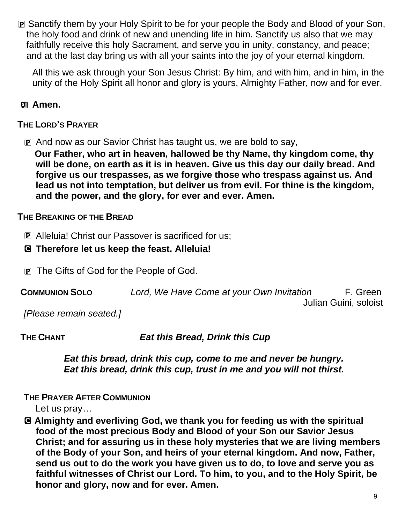P Sanctify them by your Holy Spirit to be for your people the Body and Blood of your Son, the holy food and drink of new and unending life in him. Sanctify us also that we may faithfully receive this holy Sacrament, and serve you in unity, constancy, and peace; and at the last day bring us with all your saints into the joy of your eternal kingdom.

All this we ask through your Son Jesus Christ: By him, and with him, and in him, in the unity of the Holy Spirit all honor and glory is yours, Almighty Father, now and for ever.

## **Amen.**

## **THE LORD'S PRAYER**

- P And now as our Savior Christ has taught us, we are bold to say,
- <sup>a</sup> **Our Father, who art in heaven, hallowed be thy Name, thy kingdom come, thy will be done, on earth as it is in heaven. Give us this day our daily bread. And forgive us our trespasses, as we forgive those who trespass against us. And lead us not into temptation, but deliver us from evil. For thine is the kingdom, and the power, and the glory, for ever and ever. Amen.**

## **THE BREAKING OF THE BREAD**

- P Alleluia! Christ our Passover is sacrificed for us;
- C **Therefore let us keep the feast. Alleluia!**
- **P** The Gifts of God for the People of God.

| <b>COMMUNION SOLO</b> | Lord, We Have Come at your Own Invitation |                       | F. Green |
|-----------------------|-------------------------------------------|-----------------------|----------|
| $  -$                 |                                           | Julian Guini, soloist |          |

*[Please remain seated.]*

**THE CHANT** *Eat this Bread, Drink this Cup*

*Eat this bread, drink this cup, come to me and never be hungry. Eat this bread, drink this cup, trust in me and you will not thirst.*

#### **THE PRAYER AFTER COMMUNION**

Let us pray...

C **Almighty and everliving God, we thank you for feeding us with the spiritual food of the most precious Body and Blood of your Son our Savior Jesus Christ; and for assuring us in these holy mysteries that we are living members of the Body of your Son, and heirs of your eternal kingdom. And now, Father, send us out to do the work you have given us to do, to love and serve you as faithful witnesses of Christ our Lord. To him, to you, and to the Holy Spirit, be honor and glory, now and for ever. Amen.**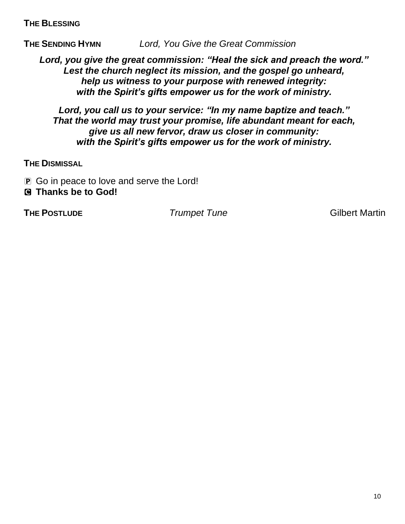**THE BLESSING**

**THE SENDING HYMN** *Lord, You Give the Great Commission*

*Lord, you give the great commission: "Heal the sick and preach the word." Lest the church neglect its mission, and the gospel go unheard, help us witness to your purpose with renewed integrity: with the Spirit's gifts empower us for the work of ministry.*

*Lord, you call us to your service: "In my name baptize and teach." That the world may trust your promise, life abundant meant for each, give us all new fervor, draw us closer in community: with the Spirit's gifts empower us for the work of ministry.*

**THE DISMISSAL**

**P** Go in peace to love and serve the Lord!

C **Thanks be to God!**

**THE POSTLUDE** *Trumpet Tune* **Gilbert Martin**